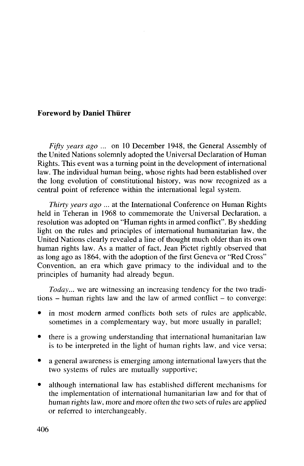## **Foreword by Daniel Thiirer**

*Fifty years ago* ... on 10 December 1948, the General Assembly of the United Nations solemnly adopted the Universal Declaration of Human Rights. This event was a turning point in the development of international law. The individual human being, whose rights had been established over the long evolution of constitutional history, was now recognized as a central point of reference within the international legal system.

*Thirty years ago ...* at the International Conference on Human Rights held in Teheran in 1968 to commemorate the Universal Declaration, a resolution was adopted on "Human rights in armed conflict". By shedding light on the rules and principles of international humanitarian law, the United Nations clearly revealed a line of thought much older than its own human rights law. As a matter of fact, Jean Pictet rightly observed that as long ago as 1864, with the adoption of the first Geneva or "Red Cross" Convention, an era which gave primacy to the individual and to the principles of humanity had already begun.

*Today...* we are witnessing an increasing tendency for the two traditions - human rights law and the law of armed conflict - to converge:

- in most modern armed conflicts both sets of rules are applicable, sometimes in a complementary way, but more usually in parallel;
- there is a growing understanding that international humanitarian law is to be interpreted in the light of human rights law, and vice versa;
- a general awareness is emerging among international lawyers that the two systems of rules are mutually supportive;
- although international law has established different mechanisms for the implementation of international humanitarian law and for that of human rights law, more and more often the two sets of rules are applied or referred to interchangeably.